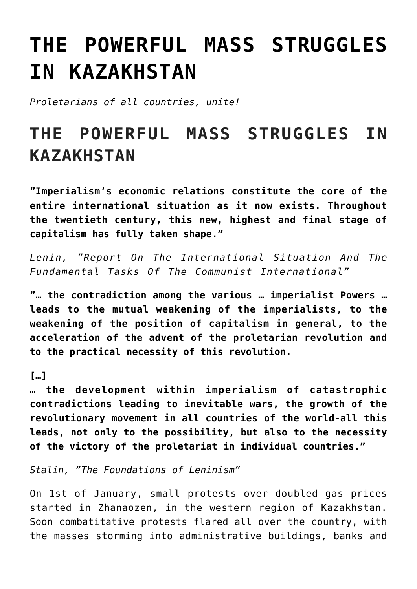## **[THE POWERFUL MASS STRUGGLES](https://ci-ic.org/blog/2022/01/21/the-powerful-mass-struggles-in-kazakhstan/) [IN KAZAKHSTAN](https://ci-ic.org/blog/2022/01/21/the-powerful-mass-struggles-in-kazakhstan/)**

*Proletarians of all countries, unite!*

## **THE POWERFUL MASS STRUGGLES IN KAZAKHSTAN**

**"Imperialism's economic relations constitute the core of the entire international situation as it now exists. Throughout the twentieth century, this new, highest and final stage of capitalism has fully taken shape."**

*Lenin, "Report On The International Situation And The Fundamental Tasks Of The Communist International"*

**"… the contradiction among the various … imperialist Powers … leads to the mutual weakening of the imperialists, to the weakening of the position of capitalism in general, to the acceleration of the advent of the proletarian revolution and to the practical necessity of this revolution.**

## **[…]**

**… the development within imperialism of catastrophic contradictions leading to inevitable wars, the growth of the revolutionary movement in all countries of the world-all this leads, not only to the possibility, but also to the necessity of the victory of the proletariat in individual countries."**

*Stalin, "The Foundations of Leninism"*

On 1st of January, small protests over doubled gas prices started in Zhanaozen, in the western region of Kazakhstan. Soon combatitative protests flared all over the country, with the masses storming into administrative buildings, banks and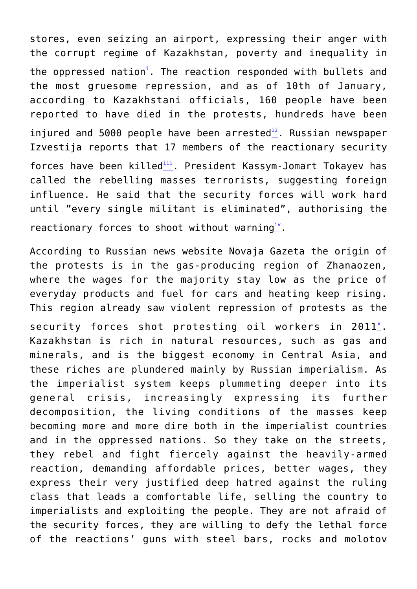stores, even seizing an airport, expressing their anger with the corrupt regime of Kazakhstan, poverty and inequality in the oppressed nat[i](#page--1-0)on<sup>i</sup>. The reaction responded with bullets and the most gruesome repression, and as of 10th of January, according to Kazakhstani officials, 160 people have been reported to have died in the protests, hundreds have been injured and 5000 people have been arrested<sup>[ii](#page--1-0)</sup>. Russian newspaper Izvestija reports that 17 members of the reactionary security forces have been killed<sup>[iii](#page--1-0)</sup>. President Kassym-Jomart Tokayey has called the rebelling masses terrorists, suggesting foreign influence. He said that the security forces will work hard until "every single militant is eliminated", authorising the reactionary forces to shoot without warning<sup>[iv](#page--1-0)</sup>.

According to Russian news website Novaja Gazeta the origin of the protests is in the gas-producing region of Zhanaozen, where the wages for the majority stay low as the price of everyday products and fuel for cars and heating keep rising. This region already saw violent repression of protests as the security forces shot protesting oil workers in  $2011$ . Kazakhstan is rich in natural resources, such as gas and minerals, and is the biggest economy in Central Asia, and these riches are plundered mainly by Russian imperialism. As the imperialist system keeps plummeting deeper into its general crisis, increasingly expressing its further decomposition, the living conditions of the masses keep becoming more and more dire both in the imperialist countries and in the oppressed nations. So they take on the streets, they rebel and fight fiercely against the heavily-armed reaction, demanding affordable prices, better wages, they express their very justified deep hatred against the ruling class that leads a comfortable life, selling the country to imperialists and exploiting the people. They are not afraid of the security forces, they are willing to defy the lethal force of the reactions' guns with steel bars, rocks and molotov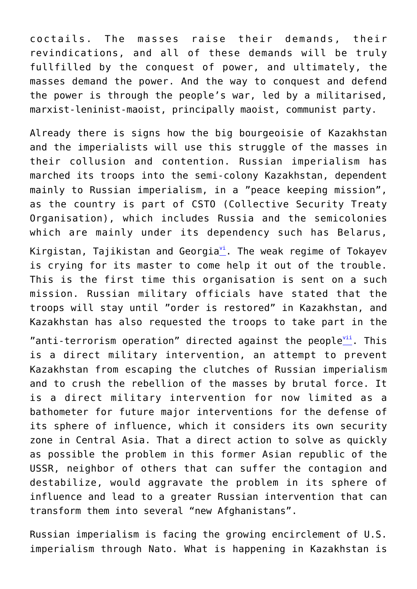coctails. The masses raise their demands, their revindications, and all of these demands will be truly fullfilled by the conquest of power, and ultimately, the masses demand the power. And the way to conquest and defend the power is through the people's war, led by a militarised, marxist-leninist-maoist, principally maoist, communist party.

Already there is signs how the big bourgeoisie of Kazakhstan and the imperialists will use this struggle of the masses in their collusion and contention. Russian imperialism has marched its troops into the semi-colony Kazakhstan, dependent mainly to Russian imperialism, in a "peace keeping mission", as the country is part of CSTO (Collective Security Treaty Organisation), which includes Russia and the semicolonies which are mainly under its dependency such has Belarus,

Kirgistan, Tajikistan and Georgia $v^i$ . The weak regime of Tokayev is crying for its master to come help it out of the trouble. This is the first time this organisation is sent on a such mission. Russian military officials have stated that the troops will stay until "order is restored" in Kazakhstan, and Kazakhstan has also requested the troops to take part in the

"anti-terrorism operation" directed against the people $\frac{1}{n}$ . This is a direct military intervention, an attempt to prevent Kazakhstan from escaping the clutches of Russian imperialism and to crush the rebellion of the masses by brutal force. It is a direct military intervention for now limited as a bathometer for future major interventions for the defense of its sphere of influence, which it considers its own security zone in Central Asia. That a direct action to solve as quickly as possible the problem in this former Asian republic of the USSR, neighbor of others that can suffer the contagion and destabilize, would aggravate the problem in its sphere of influence and lead to a greater Russian intervention that can transform them into several "new Afghanistans".

Russian imperialism is facing the growing encirclement of U.S. imperialism through Nato. What is happening in Kazakhstan is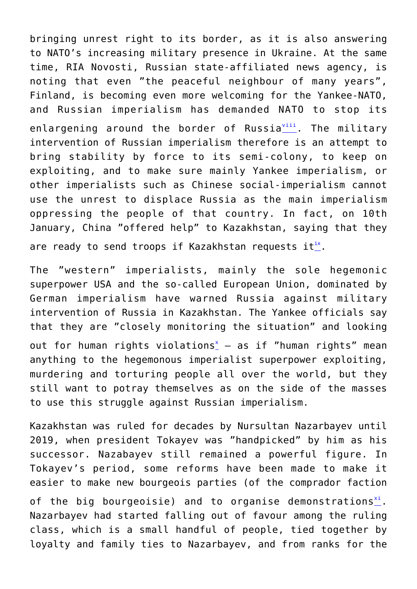bringing unrest right to its border, as it is also answering to NATO's increasing military presence in Ukraine. At the same time, RIA Novosti, Russian state-affiliated news agency, is noting that even "the peaceful neighbour of many years", Finland, is becoming even more welcoming for the Yankee-NATO, and Russian imperialism has demanded NATO to stop its enlargening around the border of Russia[viii](#page--1-0). The militarv intervention of Russian imperialism therefore is an attempt to bring stability by force to its semi-colony, to keep on exploiting, and to make sure mainly Yankee imperialism, or other imperialists such as Chinese social-imperialism cannot use the unrest to displace Russia as the main imperialism oppressing the people of that country. In fact, on 10th January, China "offered help" to Kazakhstan, saying that they are ready to send troops if Kazakhstan requests it $_{-}^{ix}$  $_{-}^{ix}$  $_{-}^{ix}$ .

The "western" imperialists, mainly the sole hegemonic superpower USA and the so-called European Union, dominated by German imperialism have warned Russia against military intervention of Russia in Kazakhstan. The Yankee officials say that they are "closely monitoring the situation" and looking out for human rights violations $_{-}^{x}$  $_{-}^{x}$  $_{-}^{x}$  - as if "human rights" mean anything to the hegemonous imperialist superpower exploiting, murdering and torturing people all over the world, but they still want to potray themselves as on the side of the masses to use this struggle against Russian imperialism.

Kazakhstan was ruled for decades by Nursultan Nazarbayev until 2019, when president Tokayev was "handpicked" by him as his successor. Nazabayev still remained a powerful figure. In Tokayev's period, some reforms have been made to make it easier to make new bourgeois parties (of the comprador faction

of the big bourgeoisie) and to organise demonstrations $\frac{x^2}{2}$ . Nazarbayev had started falling out of favour among the ruling class, which is a small handful of people, tied together by loyalty and family ties to Nazarbayev, and from ranks for the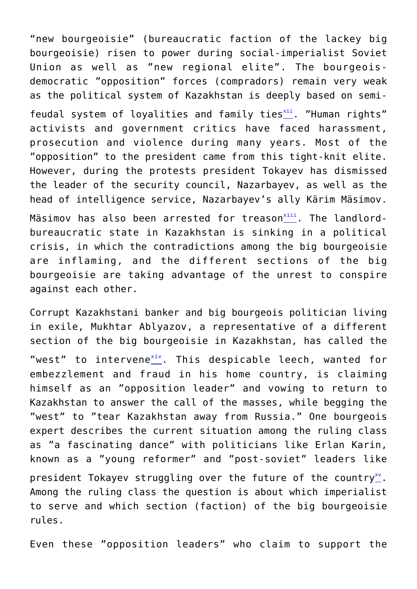"new bourgeoisie" (bureaucratic faction of the lackey big bourgeoisie) risen to power during social-imperialist Soviet Union as well as "new regional elite". The bourgeoisdemocratic "opposition" forces (compradors) remain very weak as the political system of Kazakhstan is deeply based on semifeudal system of loyalities and family ties $\frac{x^{11}}{2}$ . "Human rights" activists and government critics have faced harassment, prosecution and violence during many years. Most of the "opposition" to the president came from this tight-knit elite. However, during the protests president Tokayev has dismissed the leader of the security council, Nazarbayev, as well as the head of intelligence service, Nazarbayev's ally Kärim Mäsimov.

Mäsimov has also been arrested for treason $\frac{1}{11}$ . The landlordbureaucratic state in Kazakhstan is sinking in a political crisis, in which the contradictions among the big bourgeoisie are inflaming, and the different sections of the big bourgeoisie are taking advantage of the unrest to conspire against each other.

Corrupt Kazakhstani banker and big bourgeois politician living in exile, Mukhtar Ablyazov, a representative of a different section of the big bourgeoisie in Kazakhstan, has called the "west" to intervene $\frac{x+y}{y}$ . This despicable leech, wanted for embezzlement and fraud in his home country, is claiming himself as an "opposition leader" and vowing to return to Kazakhstan to answer the call of the masses, while begging the "west" to "tear Kazakhstan away from Russia." One bourgeois expert describes the current situation among the ruling class as "a fascinating dance" with politicians like Erlan Karin, known as a "young reformer" and "post-soviet" leaders like president Tokayev struggling over the future of the country $\sum_{i=1}^{N}$ . Among the ruling class the question is about which imperialist to serve and which section (faction) of the big bourgeoisie rules.

Even these "opposition leaders" who claim to support the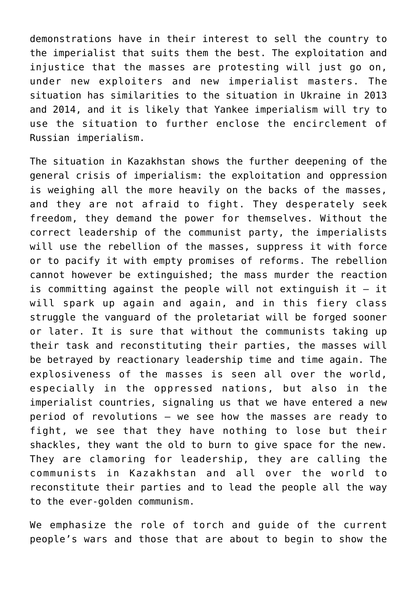demonstrations have in their interest to sell the country to the imperialist that suits them the best. The exploitation and injustice that the masses are protesting will just go on, under new exploiters and new imperialist masters. The situation has similarities to the situation in Ukraine in 2013 and 2014, and it is likely that Yankee imperialism will try to use the situation to further enclose the encirclement of Russian imperialism.

The situation in Kazakhstan shows the further deepening of the general crisis of imperialism: the exploitation and oppression is weighing all the more heavily on the backs of the masses, and they are not afraid to fight. They desperately seek freedom, they demand the power for themselves. Without the correct leadership of the communist party, the imperialists will use the rebellion of the masses, suppress it with force or to pacify it with empty promises of reforms. The rebellion cannot however be extinguished; the mass murder the reaction is committing against the people will not extinguish it – it will spark up again and again, and in this fiery class struggle the vanguard of the proletariat will be forged sooner or later. It is sure that without the communists taking up their task and reconstituting their parties, the masses will be betrayed by reactionary leadership time and time again. The explosiveness of the masses is seen all over the world, especially in the oppressed nations, but also in the imperialist countries, signaling us that we have entered a new period of revolutions – we see how the masses are ready to fight, we see that they have nothing to lose but their shackles, they want the old to burn to give space for the new. They are clamoring for leadership, they are calling the communists in Kazakhstan and all over the world to reconstitute their parties and to lead the people all the way to the ever-golden communism.

We emphasize the role of torch and guide of the current people's wars and those that are about to begin to show the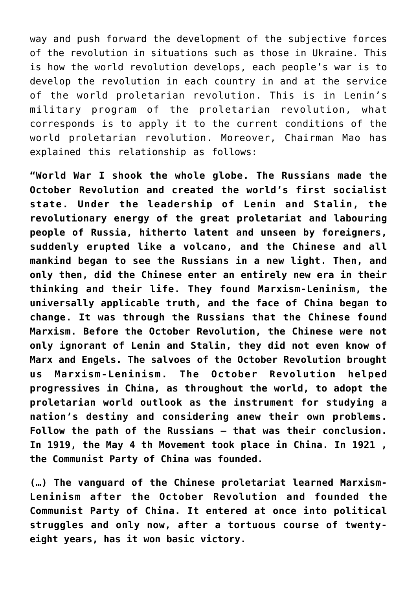way and push forward the development of the subjective forces of the revolution in situations such as those in Ukraine. This is how the world revolution develops, each people's war is to develop the revolution in each country in and at the service of the world proletarian revolution. This is in Lenin's military program of the proletarian revolution, what corresponds is to apply it to the current conditions of the world proletarian revolution. Moreover, Chairman Mao has explained this relationship as follows:

**"World War I shook the whole globe. The Russians made the October Revolution and created the world's first socialist state. Under the leadership of Lenin and Stalin, the revolutionary energy of the great proletariat and labouring people of Russia, hitherto latent and unseen by foreigners, suddenly erupted like a volcano, and the Chinese and all mankind began to see the Russians in a new light. Then, and only then, did the Chinese enter an entirely new era in their thinking and their life. They found Marxism-Leninism, the universally applicable truth, and the face of China began to change. It was through the Russians that the Chinese found Marxism. Before the October Revolution, the Chinese were not only ignorant of Lenin and Stalin, they did not even know of Marx and Engels. The salvoes of the October Revolution brought us Marxism-Leninism. The October Revolution helped progressives in China, as throughout the world, to adopt the proletarian world outlook as the instrument for studying a nation's destiny and considering anew their own problems. Follow the path of the Russians — that was their conclusion. In 1919, the May 4 th Movement took place in China. In 1921 , the Communist Party of China was founded.**

**(…) The vanguard of the Chinese proletariat learned Marxism-Leninism after the October Revolution and founded the Communist Party of China. It entered at once into political struggles and only now, after a tortuous course of twentyeight years, has it won basic victory.**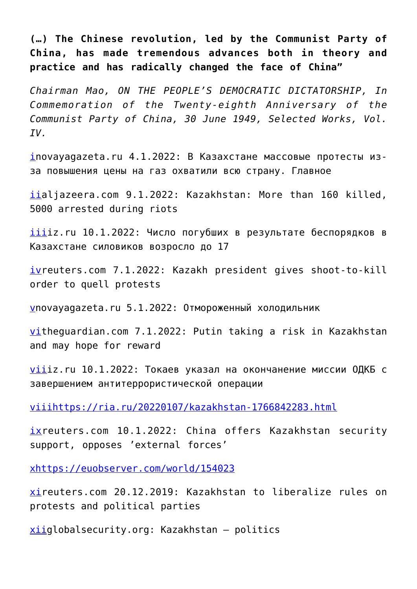**(…) The Chinese revolution, led by the Communist Party of China, has made tremendous advances both in theory and practice and has radically changed the face of China"**

*Chairman Mao, ON THE PEOPLE'S DEMOCRATIC DICTATORSHIP, In Commemoration of the Twenty-eighth Anniversary of the Communist Party of China, 30 June 1949, Selected Works, Vol. IV.*

[in](#page--1-0)ovayagazeta.ru 4.1.2022: В Казахстане массовые протесты изза повышения цены на газ охватили всю страну. Главное

[ii](#page--1-0)aliazeera.com 9.1.2022: Kazakhstan: More than 160 killed, 5000 arrested during riots

 $i$ [iii](#page--1-0)z.ru 10.1.2022: Число погубших в результате беспорядков в Казахстане силовиков возросло до 17

[iv](#page--1-0)reuters.com 7.1.2022: Kazakh president gives shoot-to-kill order to quell protests

[vn](#page--1-0)ovayagazeta.ru 5.1.2022: Отмороженный холодильник

[vi](#page--1-0)theguardian.com 7.1.2022: Putin taking a risk in Kazakhstan and may hope for reward

 $v$ iiz.ru 10.1.2022: Токаев указал на окончанение миссии ОДКБ с завершением антитеррористической операции

[viii](#page--1-0)<https://ria.ru/20220107/kazakhstan-1766842283.html>

[ixr](#page--1-0)euters.com 10.1.2022: China offers Kazakhstan security support, opposes 'external forces'

[x](#page--1-0)<https://euobserver.com/world/154023>

[xi](#page--1-0)reuters.com 20.12.2019: Kazakhstan to liberalize rules on protests and political parties

 $x_{\text{right}}$  – politics